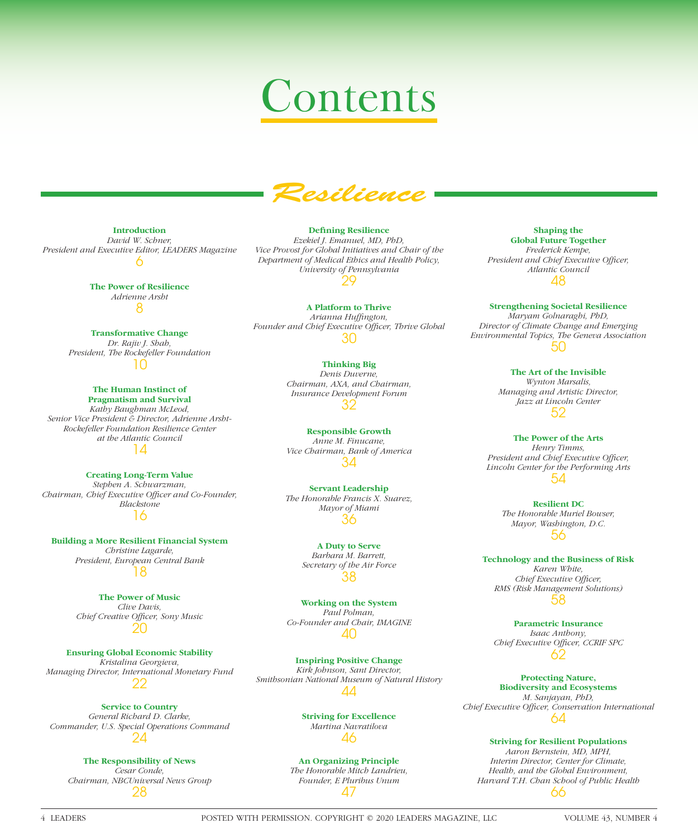# Contents



**Introduction**

*David W. Schner, President and Executive Editor, LEADERS Magazine* 6

> **The Power of Resilience** *Adrienne Arsht* 8

**Transformative Change** *Dr. Rajiv J. Shah, President, The Rockefeller Foundation* 10

> **The Human Instinct of Pragmatism and Survival**

*Kathy Baughman McLeod, Senior Vice President & Director, Adrienne Arsht-Rockefeller Foundation Resilience Center at the Atlantic Council* 14

**Creating Long-Term Value** *Stephen A. Schwarzman, Chairman, Chief Executive Officer and Co-Founder, Blackstone* 16

**Building a More Resilient Financial System** *Christine Lagarde,* 

*President, European Central Bank* 18

**The Power of Music** *Clive Davis,*  **Chief Creative Officer, Sony Music** 20

**Ensuring Global Economic Stability** *Kristalina Georgieva, Managing Director, International Monetary Fund* 22

**Service to Country** *General Richard D. Clarke, Commander, U.S. Special Operations Command* 24

#### **The Responsibility of News**

*Cesar Conde, Chairman, NBCUniversal News Group* 28

**Defining Resilience** *Ezekiel J. Emanuel, MD, PhD, Vice Provost for Global Initiatives and Chair of the Department of Medical Ethics and Health Policy, University of Pennsylvania* 29

**A Platform to Thrive** *Arianna Huffi ngton,*  Founder and Chief Executive Officer, Thrive Global 30

#### **Thinking Big**

*Denis Duverne, Chairman, AXA, and Chairman, Insurance Development Forum* 32

**Responsible Growth** *Anne M. Finucane, Vice Chairman, Bank of America* 34

**Servant Leadership** *The Honorable Francis X. Suarez, Mayor of Miami* 36

> **A Duty to Serve** *Barbara M. Barrett, Secretary of the Air Force* 38

**Working on the System** *Paul Polman, Co-Founder and Chair, IMAGINE* 40

**Inspiring Positive Change** *Kirk Johnson, Sant Director, Smithsonian National Museum of Natural History* 44

> **Striving for Excellence** *Martina Navratilova* 46

**An Organizing Principle** *The Honorable Mitch Landrieu, Founder, E Pluribus Unum* 47

**Shaping the Global Future Together** *Frederick Kempe, President and Chief Executive Officer, Atlantic Council* 48

**Strengthening Societal Resilience** *Maryam Golnaraghi, PhD, Director of Climate Change and Emerging Environmental Topics, The Geneva Association* 50

> **The Art of the Invisible** *Wynton Marsalis, Managing and Artistic Director, Jazz at Lincoln Center* 52

**The Power of the Arts** *Henry Timms, President and Chief Executive Officer, Lincoln Center for the Performing Arts* 54

> **Resilient DC** *The Honorable Muriel Bowser, Mayor, Washington, D.C.* 56

**Technology and the Business of Risk** *Karen White, Chief Executive Officer, RMS (Risk Management Solutions)* 58

**Parametric Insurance** *Isaac Anthony,*  Chief Executive Officer, CCRIF SPC 62

**Protecting Nature, Biodiversity and Ecosystems** *M. Sanjayan, PhD, Chief Executive Offi cer, Conservation International* 64

**Striving for Resilient Populations**

*Aaron Bernstein, MD, MPH, Interim Director, Center for Climate, Health, and the Global Environment, Harvard T.H. Chan School of Public Health* 66